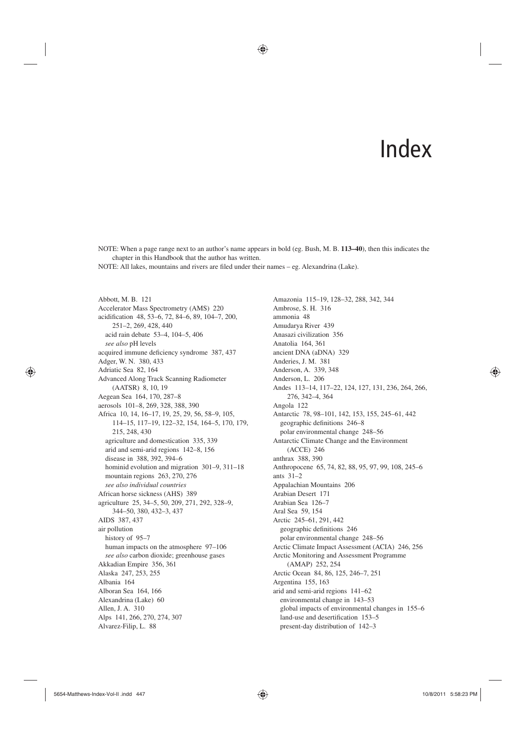# Index

NOTE: When a page range next to an author's name appears in bold (eg. Bush, M. B. **113–40**), then this indicates the chapter in this Handbook that the author has written.

♠

NOTE: All lakes, mountains and rivers are filed under their names - eg. Alexandrina (Lake).

Abbott, M. B. 121 Accelerator Mass Spectrometry (AMS) 220 acidification 48, 53-6, 72, 84-6, 89, 104-7, 200, 251–2, 269, 428, 440 acid rain debate 53–4, 104–5, 406 *see also* pH levels acquired immune deficiency syndrome 387, 437 Adger, W. N. 380, 433 Adriatic Sea 82, 164 Advanced Along Track Scanning Radiometer (AATSR) 8, 10, 19 Aegean Sea 164, 170, 287–8 aerosols 101–8, 269, 328, 388, 390 Africa 10, 14, 16–17, 19, 25, 29, 56, 58–9, 105, 114–15, 117–19, 122–32, 154, 164–5, 170, 179, 215, 248, 430 agriculture and domestication 335, 339 arid and semi-arid regions 142–8, 156 disease in 388, 392, 394–6 hominid evolution and migration 301–9, 311–18 mountain regions 263, 270, 276 *see also individual countries* African horse sickness (AHS) 389 agriculture 25, 34–5, 50, 209, 271, 292, 328–9, 344–50, 380, 432–3, 437 AIDS 387, 437 air pollution history of 95–7 human impacts on the atmosphere 97–106 *see also* carbon dioxide; greenhouse gases Akkadian Empire 356, 361 Alaska 247, 253, 255 Albania 164 Alboran Sea 164, 166 Alexandrina (Lake) 60 Allen, J. A. 310 Alps 141, 266, 270, 274, 307 Alvarez-Filip, L. 88

Amazonia 115–19, 128–32, 288, 342, 344 Ambrose, S. H. 316 ammonia 48 Amudarya River 439 Anasazi civilization 356 Anatolia 164, 361 ancient DNA (aDNA) 329 Anderies, J. M. 381 Anderson, A. 339, 348 Anderson, L. 206 Andes 113–14, 117–22, 124, 127, 131, 236, 264, 266, 276, 342–4, 364 Angola 122 Antarctic 78, 98–101, 142, 153, 155, 245–61, 442 geographic definitions 246-8 polar environmental change 248–56 Antarctic Climate Change and the Environment (ACCE) 246 anthrax 388, 390 Anthropocene 65, 74, 82, 88, 95, 97, 99, 108, 245–6 ants 31–2 Appalachian Mountains 206 Arabian Desert 171 Arabian Sea 126–7 Aral Sea 59, 154 Arctic 245–61, 291, 442 geographic definitions 246 polar environmental change 248–56 Arctic Climate Impact Assessment (ACIA) 246, 256 Arctic Monitoring and Assessment Programme (AMAP) 252, 254 Arctic Ocean 84, 86, 125, 246–7, 251 Argentina 155, 163 arid and semi-arid regions 141–62 environmental change in 143–53 global impacts of environmental changes in 155–6 land-use and desertification 153-5 present-day distribution of 142–3

⊕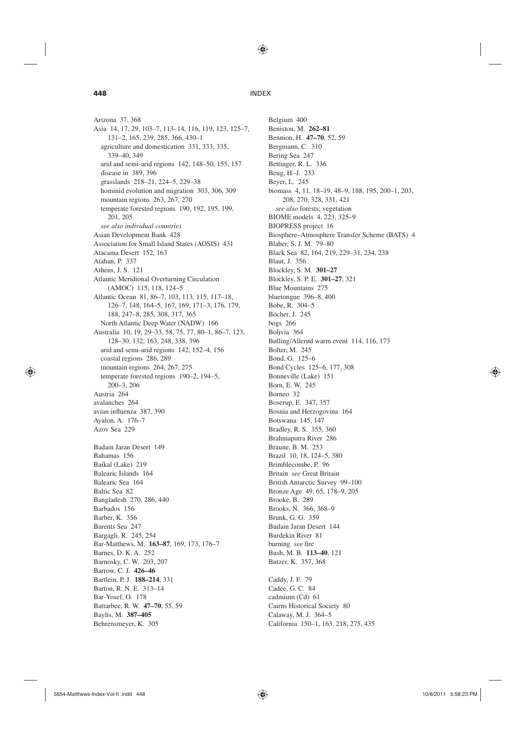⊕

# **448** INDEX

Arizona 37, 368 Asia 14, 17, 29, 103–7, 113–14, 116, 119, 123, 125–7, 131–2, 165, 239, 285, 366, 430–1 agriculture and domestication 331, 333, 335, 339–40, 349 arid and semi-arid regions 142, 148–50, 155, 157 disease in 389, 396 grasslands 218–21, 224–5, 229–38 hominid evolution and migration 303, 306, 309 mountain regions 263, 267, 270 temperate forested regions 190, 192, 195, 199, 201, 205 *see also individual countries* Asian Development Bank 428 Association for Small Island States (AOSIS) 431 Atacama Desert 152, 163 Atahan, P. 337 Athens, J. S. 121 Atlantic Meridional Overturning Circulation (AMOC) 115, 118, 124–5 Atlantic Ocean 81, 86–7, 103, 113, 115, 117–18, 126–7, 148, 164–5, 167, 169, 171–3, 176, 179, 188, 247–8, 285, 308, 317, 365 North Atlantic Deep Water (NADW) 166 Australia 10, 19, 29–33, 58, 75, 77, 80–1, 86–7, 123, 128–30, 132, 163, 248, 338, 396 arid and semi-arid regions 142, 152–4, 156 coastal regions 286, 289 mountain regions 264, 267, 275 temperate forested regions 190–2, 194–5, 200–3, 206 Austria 264 avalanches 264 avian influenza 387, 390 Ayalon, A. 176–7 Azov Sea 229 Badain Jaran Desert 149 Bahamas 156 Baikal (Lake) 219 Balearic Islands 164 Balearic Sea 164 Baltic Sea 82 Bangladesh 270, 286, 440 Barbados 156 Barber, K. 356 Barents Sea 247 Bargagli, R. 245, 254 Bar-Matthews, M. **163–87**, 169, 173, 176–7 Barnes, D. K. A. 252 Barnosky, C. W. 203, 207 Barrow, C. J. **426–46** Bartlein, P. J. **188–214**, 331 Barton, R. N. E. 313–14 Bar-Yosef, O. 178 Battarbee, R. W. **47–70**, 55, 59 Baylis, M. **387–405** Behrensmeyer, K. 305

Belgium 400 Beniston, M. **262–81** Bennion, H. **47–70**, 52, 59 Bergmann, C. 310 Bering Sea 247 Bettinger, R. L. 336 Beug, H.-J. 233 Beyer, L. 245 biomass 4, 11, 18–19, 48–9, 188, 195, 200–1, 203, 208, 270, 328, 331, 421 *see also* forests; vegetation BIOME models 4, 223, 325–9 BIOPRESS project 16 Biosphere–Atmosphere Transfer Scheme (BATS) 4 Blaber, S. J. M. 79–80 Black Sea 82, 164, 219, 229–31, 234, 238 Blaut, J. 356 Blockley, S. M. **301–27** Blockley, S. P. E. **301–27**, 321 Blue Mountains 275 bluetongue 396–8, 400 Bobe, R. 304–5 Böcher, J. 245 bogs 266 Bolivia 364 Bølling/Allerød warm event 114, 116, 173 Bolter, M. 245 Bond, G. 125–6 Bond Cycles 125–6, 177, 308 Bonneville (Lake) 151 Born, E. W. 245 Borneo 32 Boserup, E. 347, 357 Bosnia and Herzogovina 164 Botswana 145, 147 Bradley, R. S. 355, 360 Brahmaputra River 286 Braune, B. M. 253 Brazil 10, 18, 124–5, 380 Brimblecombe, P. 96 Britain *see* Great Britain British Antarctic Survey 99–100 Bronze Age 49, 65, 178–9, 205 Brooke, B. 289 Brooks, N. 366, 368–9 Brunk, G. G. 359 Budain Jaran Desert 144 Burdekin River 81 burning see fire Bush, M. B. **113–40**, 121 Butzer, K. 357, 368

Caddy, J. F. 79 Cadée, G. C. 84 cadmium (Cd) 61 Cairns Historical Society 80 Calaway, M. J. 364–5 California 150–1, 163, 218, 275, 435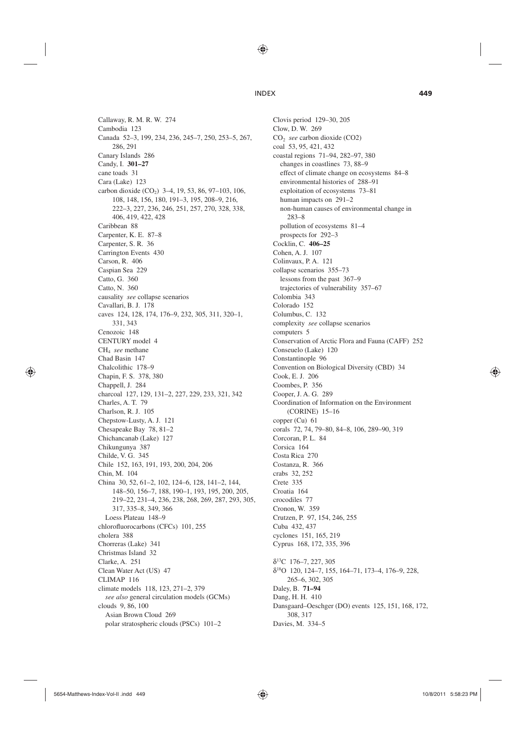♠

Callaway, R. M. R. W. 274 Cambodia 123 Canada 52–3, 199, 234, 236, 245–7, 250, 253–5, 267, 286, 291 Canary Islands 286 Candy, I. **301–27** cane toads 31 Cara (Lake) 123 carbon dioxide  $(CO_2)$  3–4, 19, 53, 86, 97–103, 106, 108, 148, 156, 180, 191–3, 195, 208–9, 216, 222–3, 227, 236, 246, 251, 257, 270, 328, 338, 406, 419, 422, 428 Caribbean 88 Carpenter, K. E. 87–8 Carpenter, S. R. 36 Carrington Events 430 Carson, R. 406 Caspian Sea 229 Catto, G. 360 Catto, N. 360 causality *see* collapse scenarios Cavallari, B. J. 178 caves 124, 128, 174, 176–9, 232, 305, 311, 320–1, 331, 343 Cenozoic 148 CENTURY model 4 CH4 *see* methane Chad Basin 147 Chalcolithic 178–9 Chapin, F. S. 378, 380 Chappell, J. 284 charcoal 127, 129, 131–2, 227, 229, 233, 321, 342 Charles, A. T. 79 Charlson, R. J. 105 Chepstow-Lusty, A. J. 121 Chesapeake Bay 78, 81–2 Chichancanab (Lake) 127 Chikungunya 387 Childe, V. G. 345 Chile 152, 163, 191, 193, 200, 204, 206 Chin, M. 104 China 30, 52, 61–2, 102, 124–6, 128, 141–2, 144, 148–50, 156–7, 188, 190–1, 193, 195, 200, 205, 219–22, 231–4, 236, 238, 268, 269, 287, 293, 305, 317, 335–8, 349, 366 Loess Plateau 148–9 chlorofluorocarbons (CFCs) 101, 255 cholera 388 Chorreras (Lake) 341 Christmas Island 32 Clarke, A. 251 Clean Water Act (US) 47 CLIMAP 116 climate models 118, 123, 271–2, 379 *see also* general circulation models (GCMs) clouds 9, 86, 100 Asian Brown Cloud 269 polar stratospheric clouds (PSCs) 101–2

Clovis period 129–30, 205 Clow, D. W. 269 CO2 *see* carbon dioxide (CO2) coal 53, 95, 421, 432 coastal regions 71–94, 282–97, 380 changes in coastlines 73, 88–9 effect of climate change on ecosystems 84–8 environmental histories of 288–91 exploitation of ecosystems 73–81 human impacts on 291–2 non-human causes of environmental change in 283–8 pollution of ecosystems 81–4 prospects for 292–3 Cocklin, C. **406–25** Cohen, A. J. 107 Colinvaux, P. A. 121 collapse scenarios 355–73 lessons from the past 367–9 trajectories of vulnerability 357–67 Colombia 343 Colorado 152 Columbus, C. 132 complexity *see* collapse scenarios computers 5 Conservation of Arctic Flora and Fauna (CAFF) 252 Conseuelo (Lake) 120 Constantinople 96 Convention on Biological Diversity (CBD) 34 Cook, E. J. 206 Coombes, P. 356 Cooper, J. A. G. 289 Coordination of Information on the Environment (CORINE) 15–16 copper (Cu) 61 corals 72, 74, 79–80, 84–8, 106, 289–90, 319 Corcoran, P. L. 84 Corsica 164 Costa Rica 270 Costanza, R. 366 crabs 32, 252 Crete 335 Croatia 164 crocodiles 77 Cronon, W. 359 Crutzen, P. 97, 154, 246, 255 Cuba 432, 437 cyclones 151, 165, 219 Cyprus 168, 172, 335, 396 δ13C 176–7, 227, 305 δ18O 120, 124–7, 155, 164–71, 173–4, 176–9, 228, 265–6, 302, 305 Daley, B. **71–94** Dang, H. H. 410 Dansgaard–Oeschger (DO) events 125, 151, 168, 172, 308, 317

⊕

Davies, M. 334–5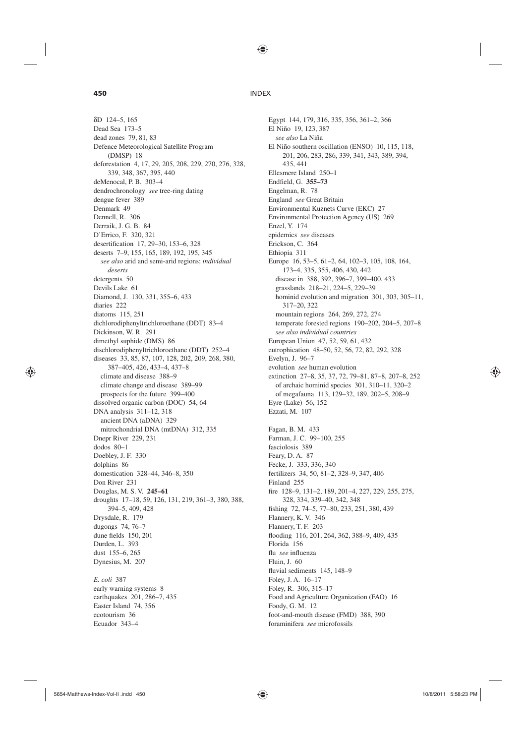⊕

# **450** INDEX

δD 124–5, 165 Dead Sea 173–5 dead zones 79, 81, 83 Defence Meteorological Satellite Program (DMSP) 18 deforestation 4, 17, 29, 205, 208, 229, 270, 276, 328, 339, 348, 367, 395, 440 deMenocal, P. B. 303–4 dendrochronology *see* tree-ring dating dengue fever 389 Denmark 49 Dennell, R. 306 Derraik, J. G. B. 84 D'Errico, F. 320, 321 desertification 17, 29-30, 153-6, 328 deserts 7–9, 155, 165, 189, 192, 195, 345 *see also* arid and semi-arid regions; *individual deserts* detergents 50 Devils Lake 61 Diamond, J. 130, 331, 355–6, 433 diaries 222 diatoms 115, 251 dichlorodiphenyltrichloroethane (DDT) 83–4 Dickinson, W. R. 291 dimethyl suphide (DMS) 86 dischlorodiphenyltrichloroethane (DDT) 252–4 diseases 33, 85, 87, 107, 128, 202, 209, 268, 380, 387–405, 426, 433–4, 437–8 climate and disease 388–9 climate change and disease 389–99 prospects for the future 399–400 dissolved organic carbon (DOC) 54, 64 DNA analysis 311–12, 318 ancient DNA (aDNA) 329 mitrochondrial DNA (mtDNA) 312, 335 Dnepr River 229, 231 dodos 80–1 Doebley, J. F. 330 dolphins 86 domestication 328–44, 346–8, 350 Don River 231 Douglas, M. S. V. **245–61** droughts 17–18, 59, 126, 131, 219, 361–3, 380, 388, 394–5, 409, 428 Drysdale, R. 179 dugongs 74, 76–7 dune fields 150, 201 Durden, L. 393 dust 155–6, 265 Dynesius, M. 207 *E. coli* 387 early warning systems 8 earthquakes 201, 286–7, 435 Easter Island 74, 356

Egypt 144, 179, 316, 335, 356, 361–2, 366 El Niño 19, 123, 387 *see also* La Niña El Niño southern oscillation (ENSO) 10, 115, 118, 201, 206, 283, 286, 339, 341, 343, 389, 394, 435, 441 Ellesmere Island 250–1 Endfield, G. 355-73 Engelman, R. 78 England *see* Great Britain Environmental Kuznets Curve (EKC) 27 Environmental Protection Agency (US) 269 Enzel, Y. 174 epidemics *see* diseases Erickson, C. 364 Ethiopia 311 Europe 16, 53–5, 61–2, 64, 102–3, 105, 108, 164, 173–4, 335, 355, 406, 430, 442 disease in 388, 392, 396–7, 399–400, 433 grasslands 218–21, 224–5, 229–39 hominid evolution and migration 301, 303, 305–11, 317–20, 322 mountain regions 264, 269, 272, 274 temperate forested regions 190–202, 204–5, 207–8 *see also individual countries* European Union 47, 52, 59, 61, 432 eutrophication 48–50, 52, 56, 72, 82, 292, 328 Evelyn, J. 96–7 evolution *see* human evolution extinction 27–8, 35, 37, 72, 79–81, 87–8, 207–8, 252 of archaic hominid species 301, 310–11, 320–2 of megafauna 113, 129–32, 189, 202–5, 208–9 Eyre (Lake) 56, 152 Ezzati, M. 107 Fagan, B. M. 433 Farman, J. C. 99–100, 255 fasciolosis 389 Feary, D. A. 87 Fecke, J. 333, 336, 340 fertilizers 34, 50, 81–2, 328–9, 347, 406 Finland 255 fire 128–9, 131–2, 189, 201–4, 227, 229, 255, 275, 328, 334, 339–40, 342, 348 fishing 72, 74-5, 77-80, 233, 251, 380, 439 Flannery, K. V. 346 Flannery, T. F. 203 flooding 116, 201, 264, 362, 388-9, 409, 435 Florida 156 flu *see* influenza Fluin, J. 60 fluvial sediments 145, 148-9 Foley, J. A. 16–17 Foley, R. 306, 315–17 Food and Agriculture Organization (FAO) 16 Foody, G. M. 12 foot-and-mouth disease (FMD) 388, 390 foraminifera *see* microfossils

ecotourism 36 Ecuador 343–4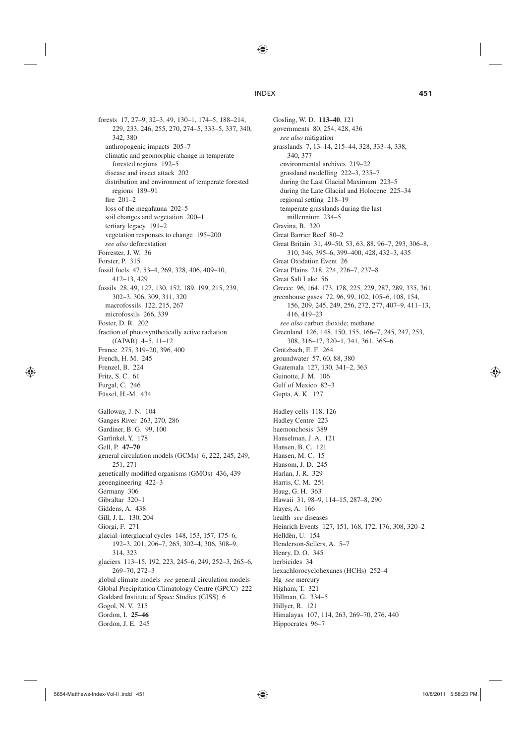♠

forests 17, 27–9, 32–3, 49, 130–1, 174–5, 188–214, 229, 233, 246, 255, 270, 274–5, 333–5, 337, 340, 342, 380 anthropogenic impacts 205–7 climatic and geomorphic change in temperate forested regions 192–5 disease and insect attack 202 distribution and environment of temperate forested regions 189–91 fire  $201-2$ loss of the megafauna 202–5 soil changes and vegetation 200–1 tertiary legacy 191–2 vegetation responses to change 195–200 *see also* deforestation Forrester, J. W. 36 Forster, P. 315 fossil fuels 47, 53–4, 269, 328, 406, 409–10, 412–13, 429 fossils 28, 49, 127, 130, 152, 189, 199, 215, 239, 302–3, 306, 309, 311, 320 macrofossils 122, 215, 267 microfossils 266, 339 Foster, D. R. 202 fraction of photosynthetically active radiation (fAPAR) 4–5, 11–12 France 275, 319–20, 396, 400 French, H. M. 245 Frenzel, B. 224 Fritz, S. C. 61 Furgal, C. 246 Füssel, H.-M. 434 Galloway, J. N. 104 Ganges River 263, 270, 286 Gardiner, B. G. 99, 100 Garfinkel, Y. 178 Gell, P. **47–70** general circulation models (GCMs) 6, 222, 245, 249, 251, 271 genetically modified organisms (GMOs) 436, 439 geoengineering 422–3 Germany 306 Gibraltar 320–1 Giddens, A. 438 Gill, J. L. 130, 204 Giorgi, F. 271 glacial–interglacial cycles 148, 153, 157, 175–6, 192–3, 201, 206–7, 265, 302–4, 306, 308–9, 314, 323 glaciers 113–15, 192, 223, 245–6, 249, 252–3, 265–6, 269–70, 272–3 global climate models *see* general circulation models Global Precipitation Climatology Centre (GPCC) 222 Goddard Institute of Space Studies (GISS) 6 Gogol, N. V. 215 Gordon, I. **25–46** Gordon, J. E. 245

Gosling, W. D. **113–40**, 121 governments 80, 254, 428, 436 *see also* mitigation grasslands 7, 13–14, 215–44, 328, 333–4, 338, 340, 377 environmental archives 219–22 grassland modelling 222–3, 235–7 during the Last Glacial Maximum 223–5 during the Late Glacial and Holocene 225–34 regional setting 218–19 temperate grasslands during the last millennium 234–5 Gravina, B. 320 Great Barrier Reef 80–2 Great Britain 31, 49–50, 53, 63, 88, 96–7, 293, 306–8, 310, 346, 395–6, 399–400, 428, 432–3, 435 Great Oxidation Event 26 Great Plains 218, 224, 226–7, 237–8 Great Salt Lake 56 Greece 96, 164, 173, 178, 225, 229, 287, 289, 335, 361 greenhouse gases 72, 96, 99, 102, 105–6, 108, 154, 156, 209, 245, 249, 256, 272, 277, 407–9, 411–13, 416, 419–23 *see also* carbon dioxide; methane Greenland 126, 148, 150, 155, 166–7, 245, 247, 253, 308, 316–17, 320–1, 341, 361, 365–6 Grötzbach, E. F. 264 groundwater 57, 60, 88, 380 Guatemala 127, 130, 341–2, 363 Guinotte, J. M. 106 Gulf of Mexico 82–3 Gupta, A. K. 127 Hadley cells 118, 126 Hadley Centre 223 haemonchosis 389 Hanselman, J. A. 121 Hansen, B. C. 121 Hansen, M. C. 15 Hansom, J. D. 245 Harlan, J. R. 329 Harris, C. M. 251 Haug, G. H. 363 Hawaii 31, 98–9, 114–15, 287–8, 290 Hayes, A. 166 health *see* diseases Heinrich Events 127, 151, 168, 172, 176, 308, 320–2 Helldèn, U. 154 Henderson-Sellers, A. 5–7 Henry, D. O. 345 herbicides 34 hexachlorocyclohexanes (HCHs) 252–4 Hg *see* mercury Higham, T. 321 Hillman, G. 334–5 Hillyer, R. 121 Himalayas 107, 114, 263, 269–70, 276, 440 Hippocrates 96–7

⊕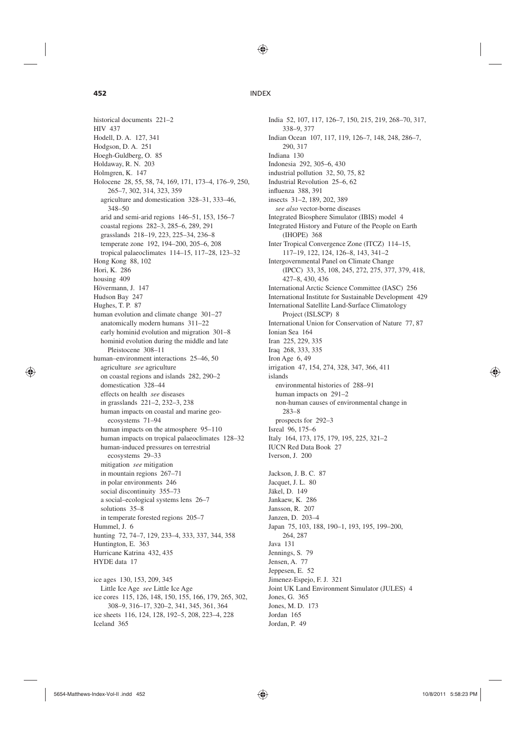♠

⊕

# **452** INDEX

historical documents 221–2 HIV 437 Hodell, D. A. 127, 341 Hodgson, D. A. 251 Hoegh-Guldberg, O. 85 Holdaway, R. N. 203 Holmgren, K. 147 Holocene 28, 55, 58, 74, 169, 171, 173–4, 176–9, 250, 265–7, 302, 314, 323, 359 agriculture and domestication 328–31, 333–46, 348–50 arid and semi-arid regions 146–51, 153, 156–7 coastal regions 282–3, 285–6, 289, 291 grasslands 218–19, 223, 225–34, 236–8 temperate zone 192, 194–200, 205–6, 208 tropical palaeoclimates 114–15, 117–28, 123–32 Hong Kong 88, 102 Hori, K. 286 housing 409 Hövermann, J. 147 Hudson Bay 247 Hughes, T. P. 87 human evolution and climate change 301–27 anatomically modern humans 311–22 early hominid evolution and migration 301–8 hominid evolution during the middle and late Pleistocene 308–11 human–environment interactions 25–46, 50 agriculture *see* agriculture on coastal regions and islands 282, 290–2 domestication 328–44 effects on health *see* diseases in grasslands 221–2, 232–3, 238 human impacts on coastal and marine geoecosystems 71–94 human impacts on the atmosphere 95–110 human impacts on tropical palaeoclimates 128–32 human-induced pressures on terrestrial ecosystems 29–33 mitigation *see* mitigation in mountain regions 267–71 in polar environments 246 social discontinuity 355–73 a social–ecological systems lens 26–7 solutions 35–8 in temperate forested regions 205–7 Hummel, J. 6 hunting 72, 74–7, 129, 233–4, 333, 337, 344, 358 Huntington, E. 363 Hurricane Katrina 432, 435 HYDE data 17 ice ages 130, 153, 209, 345 Little Ice Age *see* Little Ice Age

ice cores 115, 126, 148, 150, 155, 166, 179, 265, 302, 308–9, 316–17, 320–2, 341, 345, 361, 364 ice sheets 116, 124, 128, 192–5, 208, 223–4, 228 Iceland 365

India 52, 107, 117, 126–7, 150, 215, 219, 268–70, 317, 338–9, 377 Indian Ocean 107, 117, 119, 126–7, 148, 248, 286–7, 290, 317 Indiana 130 Indonesia 292, 305–6, 430 industrial pollution 32, 50, 75, 82 Industrial Revolution 25–6, 62 influenza 388, 391 insects 31–2, 189, 202, 389 *see also* vector-borne diseases Integrated Biosphere Simulator (IBIS) model 4 Integrated History and Future of the People on Earth (IHOPE) 368 Inter Tropical Convergence Zone (ITCZ) 114–15, 117–19, 122, 124, 126–8, 143, 341–2 Intergovernmental Panel on Climate Change (IPCC) 33, 35, 108, 245, 272, 275, 377, 379, 418, 427–8, 430, 436 International Arctic Science Committee (IASC) 256 International Institute for Sustainable Development 429 International Satellite Land-Surface Climatology Project (ISLSCP) 8 International Union for Conservation of Nature 77, 87 Ionian Sea 164 Iran 225, 229, 335 Iraq 268, 333, 335 Iron Age 6, 49 irrigation 47, 154, 274, 328, 347, 366, 411 islands environmental histories of 288–91 human impacts on 291–2 non-human causes of environmental change in 283–8 prospects for 292–3 Isreal 96, 175–6 Italy 164, 173, 175, 179, 195, 225, 321–2 IUCN Red Data Book 27 Iverson, J. 200 Jackson, J. B. C. 87 Jacquet, J. L. 80

Jäkel, D. 149 Jankaew, K. 286 Jansson, R. 207 Janzen, D. 203–4 Japan 75, 103, 188, 190–1, 193, 195, 199–200, 264, 287 Java 131 Jennings, S. 79 Jensen, A. 77 Jeppesen, E. 52 Jimenez-Espejo, F. J. 321 Joint UK Land Environment Simulator (JULES) 4 Jones, G. 365 Jones, M. D. 173 Jordan 165 Jordan, P. 49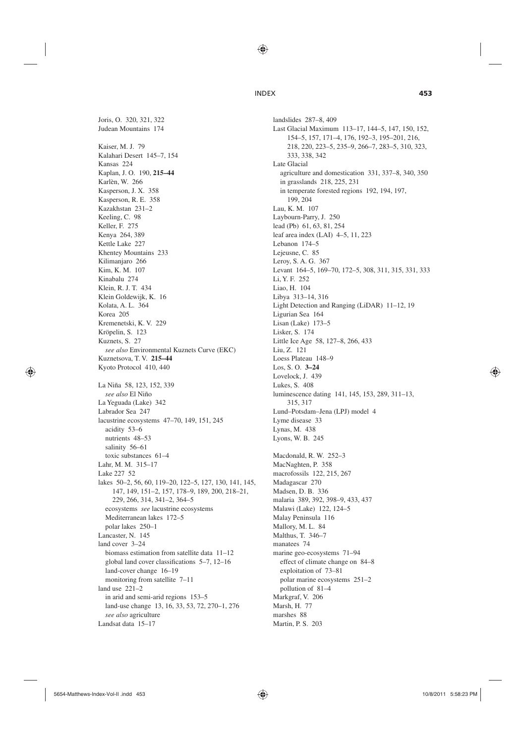◈

Joris, O. 320, 321, 322 Judean Mountains 174 Kaiser, M. J. 79 Kalahari Desert 145–7, 154 Kansas 224 Kaplan, J. O. 190, **215–44** Karlèn, W. 266 Kasperson, J. X. 358 Kasperson, R. E. 358 Kazakhstan 231–2 Keeling, C. 98 Keller, F. 275 Kenya 264, 389 Kettle Lake 227 Khentey Mountains 233 Kilimanjaro 266 Kim, K. M. 107 Kinabalu 274 Klein, R. J. T. 434 Klein Goldewijk, K. 16 Kolata, A. L. 364 Korea 205 Kremenetski, K. V. 229 Kröpelin, S. 123 Kuznets, S. 27 *see also* Environmental Kuznets Curve (EKC) Kuznetsova, T. V. **215–44** Kyoto Protocol 410, 440 La Niña 58, 123, 152, 339 *see also* El Niño La Yeguada (Lake) 342 Labrador Sea 247 lacustrine ecosystems 47–70, 149, 151, 245 acidity 53–6 nutrients 48–53 salinity 56–61 toxic substances 61–4 Lahr, M. M. 315–17 Lake 227 52 lakes 50–2, 56, 60, 119–20, 122–5, 127, 130, 141, 145, 147, 149, 151–2, 157, 178–9, 189, 200, 218–21, 229, 266, 314, 341–2, 364–5 ecosystems *see* lacustrine ecosystems Mediterranean lakes 172–5 polar lakes 250–1 Lancaster, N. 145 land cover 3–24 biomass estimation from satellite data 11–12 global land cover classifications 5–7, 12–16 land-cover change 16–19 monitoring from satellite 7–11 land use 221–2 in arid and semi-arid regions 153–5 land-use change 13, 16, 33, 53, 72, 270–1, 276 *see also* agriculture Landsat data 15–17

landslides 287–8, 409 Last Glacial Maximum 113–17, 144–5, 147, 150, 152, 154–5, 157, 171–4, 176, 192–3, 195–201, 216, 218, 220, 223–5, 235–9, 266–7, 283–5, 310, 323, 333, 338, 342 Late Glacial agriculture and domestication 331, 337–8, 340, 350 in grasslands 218, 225, 231 in temperate forested regions 192, 194, 197, 199, 204 Lau, K. M. 107 Laybourn-Parry, J. 250 lead (Pb) 61, 63, 81, 254 leaf area index (LAI) 4–5, 11, 223 Lebanon 174–5 Lejeusne, C. 85 Leroy, S. A. G. 367 Levant 164–5, 169–70, 172–5, 308, 311, 315, 331, 333 Li, Y. F. 252 Liao, H. 104 Libya 313–14, 316 Light Detection and Ranging (LiDAR) 11–12, 19 Ligurian Sea 164 Lisan (Lake) 173–5 Lisker, S. 174 Little Ice Age 58, 127–8, 266, 433 Liu, Z. 121 Loess Plateau 148–9 Los, S. O. **3–24** Lovelock, J. 439 Lukes, S. 408 luminescence dating 141, 145, 153, 289, 311–13, 315, 317 Lund–Potsdam–Jena (LPJ) model 4 Lyme disease 33 Lynas, M. 438 Lyons, W. B. 245 Macdonald, R. W. 252–3 MacNaghten, P. 358 macrofossils 122, 215, 267 Madagascar 270 Madsen, D. B. 336 malaria 389, 392, 398–9, 433, 437 Malawi (Lake) 122, 124–5 Malay Peninsula 116 Mallory, M. L. 84 Malthus, T. 346–7

⊕

manatees 74

marine geo-ecosystems 71–94 effect of climate change on 84–8

exploitation of 73–81 polar marine ecosystems 251–2

pollution of 81–4 Markgraf, V. 206 Marsh, H. 77 marshes 88 Martin, P. S. 203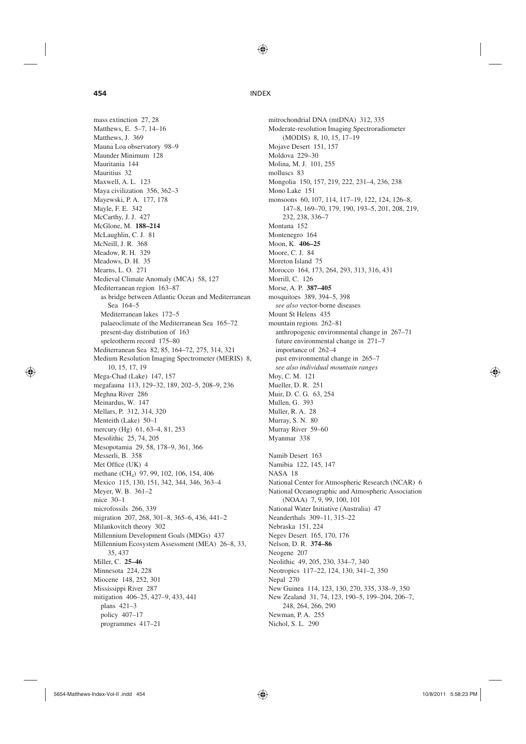♠

⊕

# **454** INDEX

mass extinction 27, 28 Matthews, E. 5–7, 14–16 Matthews, J. 369 Mauna Loa observatory 98–9 Maunder Minimum 128 Mauritania 144 Mauritius 32 Maxwell, A. L. 123 Maya civilization 356, 362–3 Mayewski, P. A. 177, 178 Mayle, F. E. 342 McCarthy, J. J. 427 McGlone, M. **188–214** McLaughlin, C. J. 81 McNeill, J. R. 368 Meadow, R. H. 329 Meadows, D. H. 35 Mearns, L. O. 271 Medieval Climate Anomaly (MCA) 58, 127 Mediterranean region 163–87 as bridge between Atlantic Ocean and Mediterranean Sea 164–5 Mediterranean lakes 172–5 palaeoclimate of the Mediterranean Sea 165–72 present-day distribution of 163 speleotherm record 175–80 Mediterranean Sea 82, 85, 164–72, 275, 314, 321 Medium Resolution Imaging Spectrometer (MERIS) 8, 10, 15, 17, 19 Mega-Chad (Lake) 147, 157 megafauna 113, 129–32, 189, 202–5, 208–9, 236 Meghna River 286 Meinardus, W. 147 Mellars, P. 312, 314, 320 Menteith (Lake) 50–1 mercury (Hg) 61, 63–4, 81, 253 Mesolithic 25, 74, 205 Mesopotamia 29, 58, 178–9, 361, 366 Messerli, B. 358 Met Office (UK) 4 methane (CH4) 97, 99, 102, 106, 154, 406 Mexico 115, 130, 151, 342, 344, 346, 363–4 Meyer, W. B. 361–2 mice 30–1 microfossils 266, 339 migration 207, 268, 301–8, 365–6, 436, 441–2 Milankovitch theory 302 Millennium Development Goals (MDGs) 437 Millennium Ecosystem Assessment (MEA) 26–8, 33, 35, 437 Miller, C. **25–46** Minnesota 224, 228 Miocene 148, 252, 301 Mississippi River 287 mitigation 406–25, 427–9, 433, 441 plans 421–3 policy 407–17 programmes 417–21

mitrochondrial DNA (mtDNA) 312, 335 Moderate-resolution Imaging Spectroradiometer (MODIS) 8, 10, 15, 17–19 Mojave Desert 151, 157 Moldova 229–30 Molina, M. J. 101, 255 molluscs 83 Mongolia 150, 157, 219, 222, 231–4, 236, 238 Mono Lake 151 monsoons 60, 107, 114, 117–19, 122, 124, 126–8, 147–8, 169–70, 179, 190, 193–5, 201, 208, 219, 232, 238, 336–7 Montana 152 Montenegro 164 Moon, K. **406–25** Moore, C. J. 84 Moreton Island 75 Morocco 164, 173, 264, 293, 313, 316, 431 Morrill, C. 126 Morse, A. P. **387–405** mosquitoes 389, 394–5, 398 *see also* vector-borne diseases Mount St Helens 435 mountain regions 262–81 anthropogenic environmental change in 267–71 future environmental change in 271–7 importance of 262–4 past environmental change in 265–7 *see also individual mountain ranges* Moy, C. M. 121 Mueller, D. R. 251 Muir, D. C. G. 63, 254 Mullen, G. 393 Muller, R. A. 28 Murray, S. N. 80 Murray River 59–60 Myanmar 338 Namib Desert 163 Namibia 122, 145, 147 NASA 18 National Center for Atmospheric Research (NCAR) 6 National Oceanographic and Atmospheric Association (NOAA) 7, 9, 99, 100, 101 National Water Initiative (Australia) 47 Neanderthals 309–11, 315–22 Nebraska 151, 224 Negev Desert 165, 170, 176 Nelson, D. R. **374–86** Neogene 207 Neolithic 49, 205, 230, 334–7, 340 Neotropics 117–22, 124, 130, 341–2, 350 Nepal 270 New Guinea 114, 123, 130, 270, 335, 338–9, 350 New Zealand 31, 74, 123, 190–5, 199–204, 206–7, 248, 264, 266, 290 Newman, P. A. 255 Nichol, S. L. 290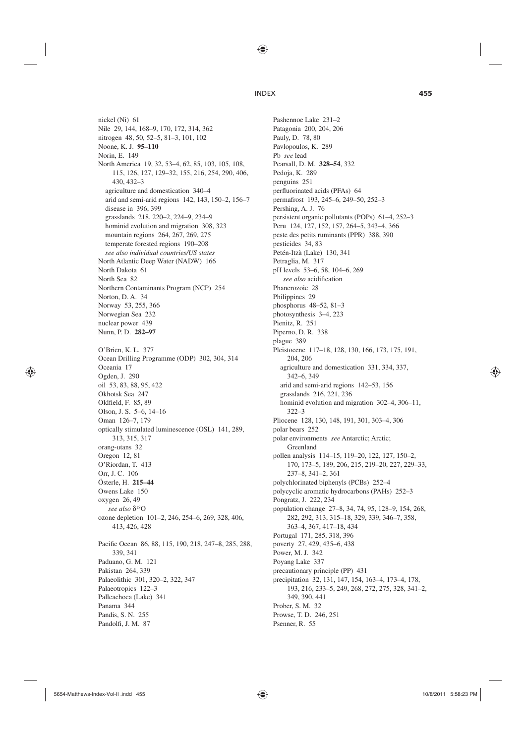♠

nickel (Ni) 61 Nile 29, 144, 168–9, 170, 172, 314, 362 nitrogen 48, 50, 52–5, 81–3, 101, 102 Noone, K. J. **95–110** Norin, E. 149 North America 19, 32, 53–4, 62, 85, 103, 105, 108, 115, 126, 127, 129–32, 155, 216, 254, 290, 406, 430, 432–3 agriculture and domestication 340–4 arid and semi-arid regions 142, 143, 150–2, 156–7 disease in 396, 399 grasslands 218, 220–2, 224–9, 234–9 hominid evolution and migration 308, 323 mountain regions 264, 267, 269, 275 temperate forested regions 190–208 *see also individual countries/US states* North Atlantic Deep Water (NADW) 166 North Dakota 61 North Sea 82 Northern Contaminants Program (NCP) 254 Norton, D. A. 34 Norway 53, 255, 366 Norwegian Sea 232 nuclear power 439 Nunn, P. D. **282–97** O'Brien, K. L. 377 Ocean Drilling Programme (ODP) 302, 304, 314 Oceania 17 Ogden, J. 290 oil 53, 83, 88, 95, 422 Okhotsk Sea 247 Oldfield, F. 85, 89 Olson, J. S. 5–6, 14–16 Oman 126–7, 179 optically stimulated luminescence (OSL) 141, 289, 313, 315, 317 orang-utans 32 Oregon 12, 81 O'Riordan, T. 413 Orr, J. C. 106 Österle, H. **215–44** Owens Lake 150 oxygen 26, 49 *see also* δ18O ozone depletion 101–2, 246, 254–6, 269, 328, 406, 413, 426, 428 Pacific Ocean 86, 88, 115, 190, 218, 247-8, 285, 288, 339, 341 Paduano, G. M. 121 Pakistan 264, 339 Palaeolithic 301, 320–2, 322, 347 Palaeotropics 122–3 Pallcachoca (Lake) 341 Panama 344 Pandis, S. N. 255 Pandolfi, J. M. 87

Pashennoe Lake 231–2 Patagonia 200, 204, 206 Pauly, D. 78, 80 Pavlopoulos, K. 289 Pb *see* lead Pearsall, D. M. **328–54**, 332 Pedoja, K. 289 penguins 251 perfluorinated acids (PFAs) 64 permafrost 193, 245–6, 249–50, 252–3 Pershing, A. J. 76 persistent organic pollutants (POPs) 61–4, 252–3 Peru 124, 127, 152, 157, 264–5, 343–4, 366 peste des petits ruminants (PPR) 388, 390 pesticides 34, 83 Petén-Itzà (Lake) 130, 341 Petraglia, M. 317 pH levels 53–6, 58, 104–6, 269 see also acidification Phanerozoic 28 Philippines 29 phosphorus 48–52, 81–3 photosynthesis 3–4, 223 Pienitz, R. 251 Piperno, D. R. 338 plague 389 Pleistocene 117–18, 128, 130, 166, 173, 175, 191, 204, 206 agriculture and domestication 331, 334, 337, 342–6, 349 arid and semi-arid regions 142–53, 156 grasslands 216, 221, 236 hominid evolution and migration 302–4, 306–11, 322–3 Pliocene 128, 130, 148, 191, 301, 303–4, 306 polar bears 252 polar environments *see* Antarctic; Arctic; Greenland pollen analysis 114–15, 119–20, 122, 127, 150–2, 170, 173–5, 189, 206, 215, 219–20, 227, 229–33, 237–8, 341–2, 361 polychlorinated biphenyls (PCBs) 252–4 polycyclic aromatic hydrocarbons (PAHs) 252–3 Pongratz, J. 222, 234 population change 27–8, 34, 74, 95, 128–9, 154, 268, 282, 292, 313, 315–18, 329, 339, 346–7, 358, 363–4, 367, 417–18, 434 Portugal 171, 285, 318, 396 poverty 27, 429, 435–6, 438 Power, M. J. 342 Poyang Lake 337 precautionary principle (PP) 431 precipitation 32, 131, 147, 154, 163–4, 173–4, 178, 193, 216, 233–5, 249, 268, 272, 275, 328, 341–2, 349, 390, 441

⊕

Prober, S. M. 32 Prowse, T. D. 246, 251 Psenner, R. 55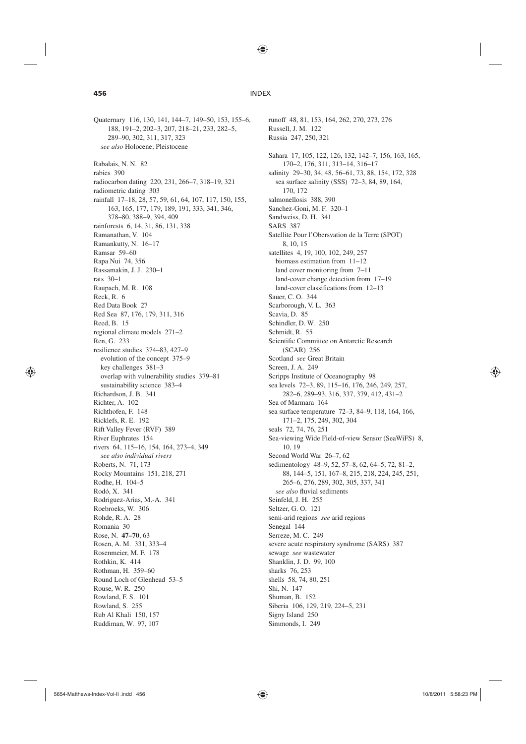⊕

# **456** INDEX

188, 191–2, 202–3, 207, 218–21, 233, 282–5, 289–90, 302, 311, 317, 323 *see also* Holocene; Pleistocene Rabalais, N. N. 82 rabies 390 radiocarbon dating 220, 231, 266–7, 318–19, 321 radiometric dating 303 rainfall 17–18, 28, 57, 59, 61, 64, 107, 117, 150, 155, 163, 165, 177, 179, 189, 191, 333, 341, 346, 378–80, 388–9, 394, 409 rainforests 6, 14, 31, 86, 131, 338 Ramanathan, V. 104 Ramankutty, N. 16–17 Ramsar 59–60 Rapa Nui 74, 356 Rassamakin, J. J. 230–1 rats 30–1 Raupach, M. R. 108 Reck, R. 6 Red Data Book 27 Red Sea 87, 176, 179, 311, 316 Reed, B. 15 regional climate models 271–2 Ren, G. 233 resilience studies 374–83, 427–9 evolution of the concept 375–9 key challenges 381–3 overlap with vulnerability studies 379–81 sustainability science 383–4 Richardson, J. B. 341 Richter, A. 102 Richthofen, F. 148 Ricklefs, R. E. 192 Rift Valley Fever (RVF) 389 River Euphrates 154 rivers 64, 115–16, 154, 164, 273–4, 349 *see also individual rivers* Roberts, N. 71, 173 Rocky Mountains 151, 218, 271 Rodhe, H. 104–5 Rodó, X. 341 Rodriguez-Arias, M.-A. 341 Roebroeks, W. 306 Rohde, R. A. 28 Romania 30 Rose, N. **47–70**, 63 Rosen, A. M. 331, 333–4 Rosenmeier, M. F. 178 Rothkin, K. 414 Rothman, H. 359–60 Round Loch of Glenhead 53–5 Rouse, W. R. 250 Rowland, F. S. 101 Rowland, S. 255 Rub Al Khali 150, 157 Ruddiman, W. 97, 107

Quaternary 116, 130, 141, 144–7, 149–50, 153, 155–6,

runoff 48, 81, 153, 164, 262, 270, 273, 276 Russell, J. M. 122 Russia 247, 250, 321 Sahara 17, 105, 122, 126, 132, 142–7, 156, 163, 165, 170–2, 176, 311, 313–14, 316–17 salinity 29–30, 34, 48, 56–61, 73, 88, 154, 172, 328 sea surface salinity (SSS) 72–3, 84, 89, 164, 170, 172 salmonellosis 388, 390 Sanchez-Goni, M. F. 320–1 Sandweiss, D. H. 341 SARS 387 Satellite Pour l'Obersvation de la Terre (SPOT) 8, 10, 15 satellites 4, 19, 100, 102, 249, 257 biomass estimation from 11–12 land cover monitoring from 7–11 land-cover change detection from 17–19 land-cover classifications from 12-13 Sauer, C. O. 344 Scarborough, V. L. 363 Scavia, D. 85 Schindler, D. W. 250 Schmidt, R. 55 Scientific Committee on Antarctic Research (SCAR) 256 Scotland *see* Great Britain Screen, J. A. 249 Scripps Institute of Oceanography 98 sea levels 72–3, 89, 115–16, 176, 246, 249, 257, 282–6, 289–93, 316, 337, 379, 412, 431–2 Sea of Marmara 164 sea surface temperature 72–3, 84–9, 118, 164, 166, 171–2, 175, 249, 302, 304 seals 72, 74, 76, 251 Sea-viewing Wide Field-of-view Sensor (SeaWiFS) 8, 10, 19 Second World War 26–7, 62 sedimentology 48–9, 52, 57–8, 62, 64–5, 72, 81–2, 88, 144–5, 151, 167–8, 215, 218, 224, 245, 251, 265–6, 276, 289, 302, 305, 337, 341 see also fluvial sediments Seinfeld, J. H. 255 Seltzer, G. O. 121 semi-arid regions *see* arid regions Senegal 144 Serreze, M. C. 249 severe acute respiratory syndrome (SARS) 387 sewage *see* wastewater Shanklin, J. D. 99, 100 sharks 76, 253 shells 58, 74, 80, 251 Shi, N. 147 Shuman, B. 152 Siberia 106, 129, 219, 224–5, 231 Signy Island 250

Simmonds, I. 249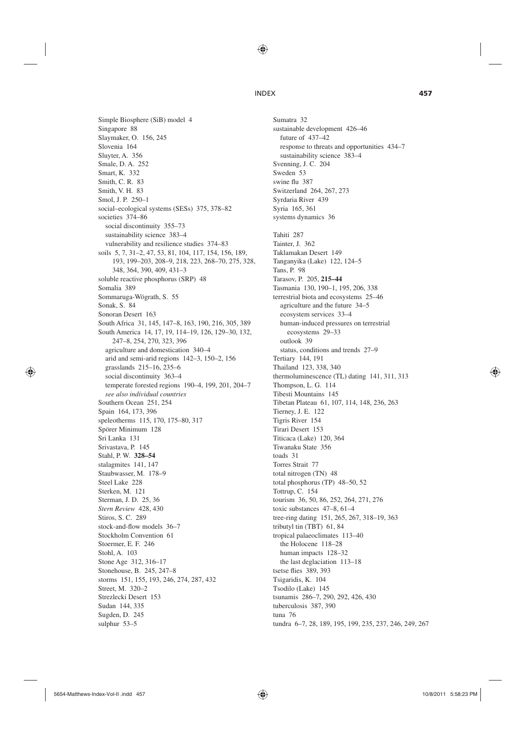♠

### INDEX **457**

Simple Biosphere (SiB) model 4 Singapore 88 Slaymaker, O. 156, 245 Slovenia 164 Sluyter, A. 356 Smale, D. A. 252 Smart, K. 332 Smith, C. R. 83 Smith, V. H. 83 Smol, J. P. 250–1 social–ecological systems (SESs) 375, 378–82 societies 374–86 social discontinuity 355–73 sustainability science 383–4 vulnerability and resilience studies 374–83 soils 5, 7, 31–2, 47, 53, 81, 104, 117, 154, 156, 189, 193, 199–203, 208–9, 218, 223, 268–70, 275, 328, 348, 364, 390, 409, 431–3 soluble reactive phosphorus (SRP) 48 Somalia 389 Sommaruga-Wögrath, S. 55 Sonak, S. 84 Sonoran Desert 163 South Africa 31, 145, 147–8, 163, 190, 216, 305, 389 South America 14, 17, 19, 114–19, 126, 129–30, 132, 247–8, 254, 270, 323, 396 agriculture and domestication 340–4 arid and semi-arid regions 142–3, 150–2, 156 grasslands 215–16, 235–6 social discontinuity 363–4 temperate forested regions 190–4, 199, 201, 204–7 *see also individual countries* Southern Ocean 251, 254 Spain 164, 173, 396 speleotherms 115, 170, 175–80, 317 Spörer Minimum 128 Sri Lanka 131 Srivastava, P. 145 Stahl, P. W. **328–54** stalagmites 141, 147 Staubwasser, M. 178–9 Steel Lake 228 Sterken, M. 121 Sterman, J. D. 25, 36 *Stern Review* 428, 430 Stiros, S. C. 289 stock-and-flow models 36–7 Stockholm Convention 61 Stoermer, E. F. 246 Stohl, A. 103 Stone Age 312, 316–17 Stonehouse, B. 245, 247–8 storms 151, 155, 193, 246, 274, 287, 432 Street, M. 320–2 Strezlecki Desert 153 Sudan 144, 335 Sugden, D. 245 sulphur 53–5

# Sumatra 32 sustainable development 426–46 future of 437–42 response to threats and opportunities 434–7 sustainability science 383–4 Svenning, J. C. 204 Sweden 53 swine flu 387 Switzerland 264, 267, 273 Syrdaria River 439 Syria 165, 361 systems dynamics 36 Tahiti 287 Tainter, J. 362 Taklamakan Desert 149 Tanganyika (Lake) 122, 124–5 Tans, P. 98 Tarasov, P. 205, **215–44** Tasmania 130, 190–1, 195, 206, 338 terrestrial biota and ecosystems 25–46 agriculture and the future 34–5 ecosystem services 33–4 human-induced pressures on terrestrial ecosystems 29–33 outlook 39 status, conditions and trends 27–9 Tertiary 144, 191 Thailand 123, 338, 340 thermoluminescence (TL) dating 141, 311, 313 Thompson, L. G. 114 Tibesti Mountains 145 Tibetan Plateau 61, 107, 114, 148, 236, 263 Tierney, J. E. 122 Tigris River 154 Tirari Desert 153 Titicaca (Lake) 120, 364 Tiwanaku State 356 toads 31 Torres Strait 77 total nitrogen (TN) 48 total phosphorus (TP) 48–50, 52 Tottrup, C. 154 tourism 36, 50, 86, 252, 264, 271, 276 toxic substances 47–8, 61–4 tree-ring dating 151, 265, 267, 318–19, 363 tributyl tin (TBT) 61, 84 tropical palaeoclimates 113–40 the Holocene 118–28 human impacts 128–32 the last deglaciation 113–18 tsetse flies 389, 393 Tsigaridis, K. 104 Tsodilo (Lake) 145 tsunamis 286–7, 290, 292, 426, 430 tuberculosis 387, 390 tuna 76 tundra 6–7, 28, 189, 195, 199, 235, 237, 246, 249, 267

⊕